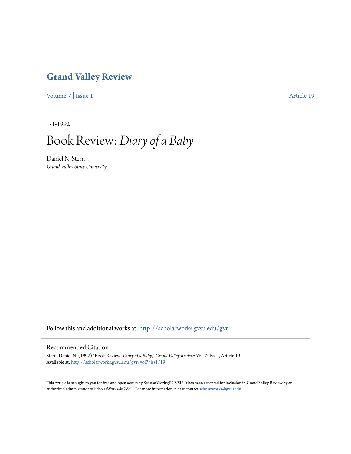## **[Grand Valley Review](http://scholarworks.gvsu.edu/gvr?utm_source=scholarworks.gvsu.edu%2Fgvr%2Fvol7%2Fiss1%2F19&utm_medium=PDF&utm_campaign=PDFCoverPages)**

[Volume 7](http://scholarworks.gvsu.edu/gvr/vol7?utm_source=scholarworks.gvsu.edu%2Fgvr%2Fvol7%2Fiss1%2F19&utm_medium=PDF&utm_campaign=PDFCoverPages) | [Issue 1](http://scholarworks.gvsu.edu/gvr/vol7/iss1?utm_source=scholarworks.gvsu.edu%2Fgvr%2Fvol7%2Fiss1%2F19&utm_medium=PDF&utm_campaign=PDFCoverPages) [Article 19](http://scholarworks.gvsu.edu/gvr/vol7/iss1/19?utm_source=scholarworks.gvsu.edu%2Fgvr%2Fvol7%2Fiss1%2F19&utm_medium=PDF&utm_campaign=PDFCoverPages)

1-1-1992

## Book Review: *Diary of a Baby*

Daniel N. Stern *Grand Valley State University*

Follow this and additional works at: [http://scholarworks.gvsu.edu/gvr](http://scholarworks.gvsu.edu/gvr?utm_source=scholarworks.gvsu.edu%2Fgvr%2Fvol7%2Fiss1%2F19&utm_medium=PDF&utm_campaign=PDFCoverPages)

## Recommended Citation

Stern, Daniel N. (1992) "Book Review: *Diary of a Baby*," *Grand Valley Review*: Vol. 7: Iss. 1, Article 19. Available at: [http://scholarworks.gvsu.edu/gvr/vol7/iss1/19](http://scholarworks.gvsu.edu/gvr/vol7/iss1/19?utm_source=scholarworks.gvsu.edu%2Fgvr%2Fvol7%2Fiss1%2F19&utm_medium=PDF&utm_campaign=PDFCoverPages)

This Article is brought to you for free and open access by ScholarWorks@GVSU. It has been accepted for inclusion in Grand Valley Review by an authorized administrator of ScholarWorks@GVSU. For more information, please contact [scholarworks@gvsu.edu.](mailto:scholarworks@gvsu.edu)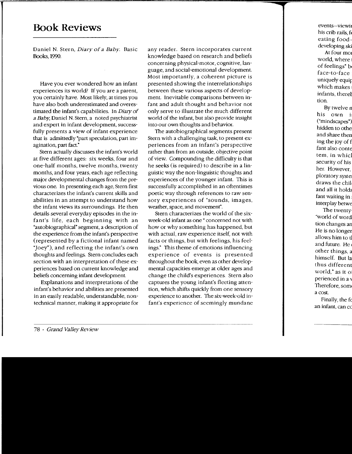## **Book Reviews**

Daniel N. Stern, Diary of a Baby. Basic Books, 1990.

Have you ever wondered how an infant experiences its world? If you are a parent, you certainly have. Most likely, at times you have also both underestimated and overestimated the infant's capabilities. In Diary of a Baby, Daniel N. Stern, a noted psychiatrist and expert in infant development, successfully presents a view of infant experience that is admittedly "part speculation, part imagination, part fact."

Stern actually discusses the infant's world at five different ages: six weeks, four and one-half months, twelve months, twenty months, and four years, each age reflecting major developmental changes from the previous one. In presenting each age, Stern first characterizes the infant's current skills and abilities in an attempt to understand how the infant views its surroundings. He then details several everyday episodes in the infant's life, each beginning with an "autobiographical" segment, a description of the experience from the infant's perspective (represented by a fictional infant named "Joey"), and reflecting the infant's own thoughts and feelings. Stern concludes each section with an interpretation of these experiences based on current knowledge and beliefs concerning infant development

Explanations and interpretations of the infant's behavior and abilities are presented in an easily readable, understandable, nontechnical manner, making it appropriate for any reader. Stern incorporates current knowledge based on research and beliefs concerning physical-motor, cognitive, language, and social-emotional development. Most importantly, a coherent picture is presented showing the interrelationships between these various aspects of development. Inevitable comparisons between infant and adult thought and behavior not only serve to illustrate the much different world of the infant, but also provide insight into our own thoughts and behavior.

The autobiographical segments present Stern with a challenging task, to present experiences from an infant's perspective rather than from an outside, objective point of view. Compounding the difficulty is that he seeks (is required) to describe in a linguistic way the non-linguistic thoughts and experiences of the younger infant. This is successfully accomplished in an oftentimes poetic way through references to raw sensory experiences of "sounds, images, weather, space, and movement".

Stern characterizes the world of the sixweek-old infant as one" concerned not with how or why something has happened, but with actual, raw experience itself, not with facts or things, but with feelings, his feelings." This theme of emotions influencing experience of events is presented throughout the book, even as other developmental capacities emerge at older ages and change the child's experiences. Stern also captures the young infant's fleeting attention, which shifts quickly from one sensory experience to another. The six-week-old infant's experience of seemingly mundane